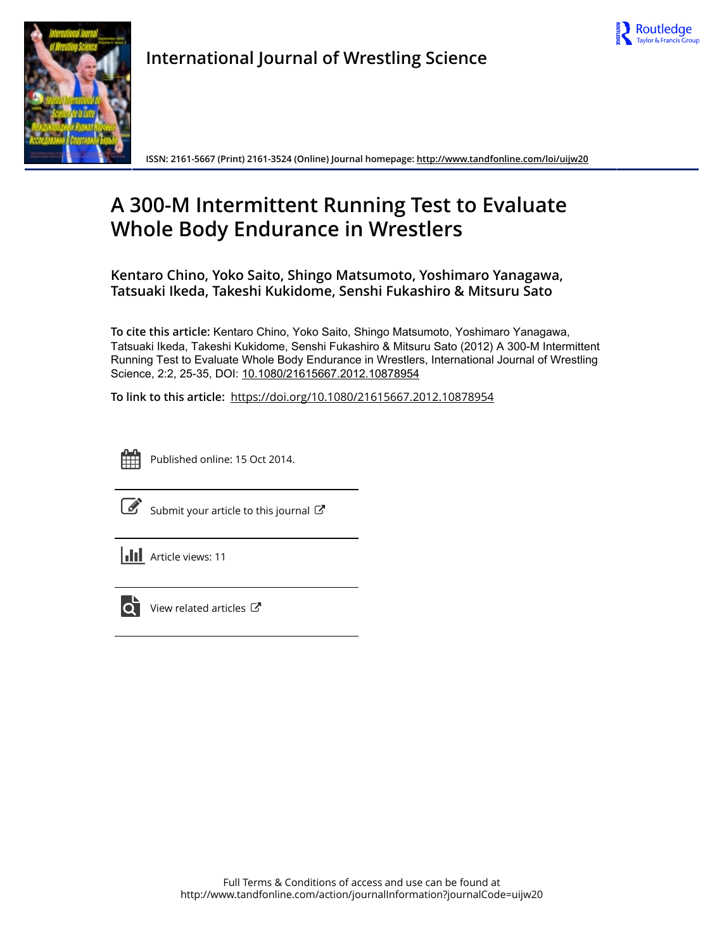



**International Journal of Wrestling Science**

**ISSN: 2161-5667 (Print) 2161-3524 (Online) Journal homepage:<http://www.tandfonline.com/loi/uijw20>**

# **A 300-M Intermittent Running Test to Evaluate Whole Body Endurance in Wrestlers**

**Kentaro Chino, Yoko Saito, Shingo Matsumoto, Yoshimaro Yanagawa, Tatsuaki Ikeda, Takeshi Kukidome, Senshi Fukashiro & Mitsuru Sato**

**To cite this article:** Kentaro Chino, Yoko Saito, Shingo Matsumoto, Yoshimaro Yanagawa, Tatsuaki Ikeda, Takeshi Kukidome, Senshi Fukashiro & Mitsuru Sato (2012) A 300-M Intermittent Running Test to Evaluate Whole Body Endurance in Wrestlers, International Journal of Wrestling Science, 2:2, 25-35, DOI: [10.1080/21615667.2012.10878954](http://www.tandfonline.com/action/showCitFormats?doi=10.1080/21615667.2012.10878954)

**To link to this article:** <https://doi.org/10.1080/21615667.2012.10878954>



Published online: 15 Oct 2014.



 $\overline{\mathscr{L}}$  [Submit your article to this journal](http://www.tandfonline.com/action/authorSubmission?journalCode=uijw20&show=instructions)  $\mathscr{L}$ 

**III** Article views: 11



 $\overrightarrow{Q}$  [View related articles](http://www.tandfonline.com/doi/mlt/10.1080/21615667.2012.10878954)  $\overrightarrow{C}$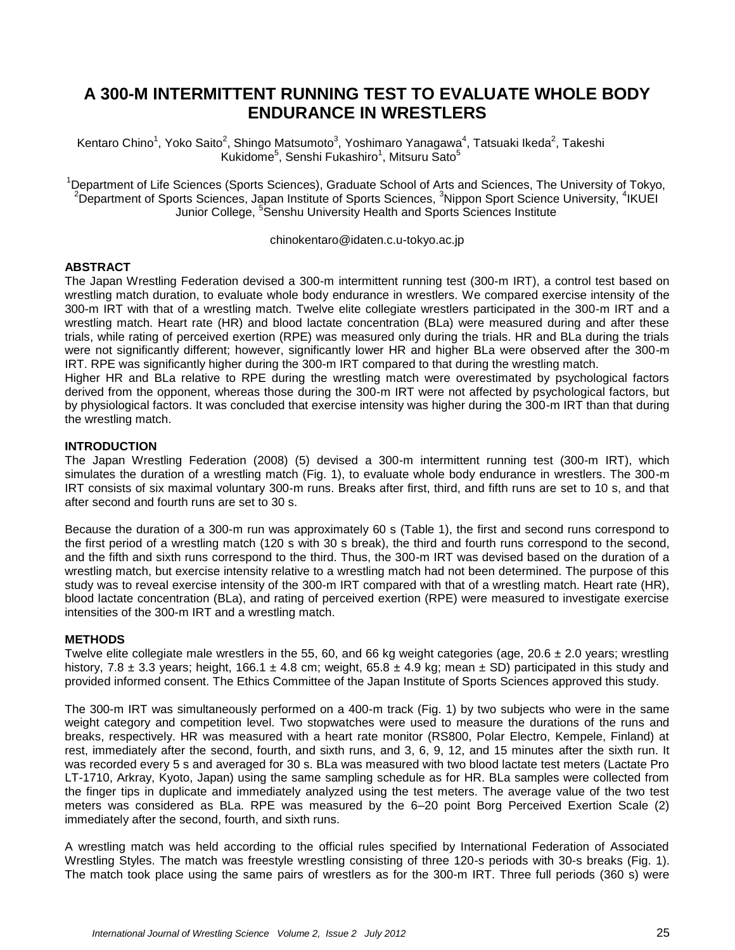# **A 300-M INTERMITTENT RUNNING TEST TO EVALUATE WHOLE BODY ENDURANCE IN WRESTLERS**

Kentaro Chino<sup>1</sup>, Yoko Saito<sup>2</sup>, Shingo Matsumoto<sup>3</sup>, Yoshimaro Yanagawa<sup>4</sup>, Tatsuaki Ikeda<sup>2</sup>, Takeshi Kukidome $^5$ , Senshi Fukashiro $^1$ , Mitsuru Sato $^5$ 

<sup>1</sup>Department of Life Sciences (Sports Sciences), Graduate School of Arts and Sciences, The University of Tokyo, <sup>2</sup>Department of Sports Sciences, Japan Institute of Sports Sciences, <sup>3</sup>Nippon Sport Science University, <sup>4</sup>IKUEI Junior College, <sup>5</sup>Senshu University Health and Sports Sciences Institute

chinokentaro@idaten.c.u-tokyo.ac.jp

# **ABSTRACT**

The Japan Wrestling Federation devised a 300-m intermittent running test (300-m IRT), a control test based on wrestling match duration, to evaluate whole body endurance in wrestlers. We compared exercise intensity of the 300-m IRT with that of a wrestling match. Twelve elite collegiate wrestlers participated in the 300-m IRT and a wrestling match. Heart rate (HR) and blood lactate concentration (BLa) were measured during and after these trials, while rating of perceived exertion (RPE) was measured only during the trials. HR and BLa during the trials were not significantly different; however, significantly lower HR and higher BLa were observed after the 300-m IRT. RPE was significantly higher during the 300-m IRT compared to that during the wrestling match.

Higher HR and BLa relative to RPE during the wrestling match were overestimated by psychological factors derived from the opponent, whereas those during the 300-m IRT were not affected by psychological factors, but by physiological factors. It was concluded that exercise intensity was higher during the 300-m IRT than that during the wrestling match.

# **INTRODUCTION**

The Japan Wrestling Federation (2008) (5) devised a 300-m intermittent running test (300-m IRT), which simulates the duration of a wrestling match (Fig. 1), to evaluate whole body endurance in wrestlers. The 300-m IRT consists of six maximal voluntary 300-m runs. Breaks after first, third, and fifth runs are set to 10 s, and that after second and fourth runs are set to 30 s.

Because the duration of a 300-m run was approximately 60 s (Table 1), the first and second runs correspond to the first period of a wrestling match (120 s with 30 s break), the third and fourth runs correspond to the second, and the fifth and sixth runs correspond to the third. Thus, the 300-m IRT was devised based on the duration of a wrestling match, but exercise intensity relative to a wrestling match had not been determined. The purpose of this study was to reveal exercise intensity of the 300-m IRT compared with that of a wrestling match. Heart rate (HR), blood lactate concentration (BLa), and rating of perceived exertion (RPE) were measured to investigate exercise intensities of the 300-m IRT and a wrestling match.

### **METHODS**

Twelve elite collegiate male wrestlers in the 55, 60, and 66 kg weight categories (age,  $20.6 \pm 2.0$  years; wrestling history, 7.8  $\pm$  3.3 years; height, 166.1  $\pm$  4.8 cm; weight, 65.8  $\pm$  4.9 kg; mean  $\pm$  SD) participated in this study and provided informed consent. The Ethics Committee of the Japan Institute of Sports Sciences approved this study.

The 300-m IRT was simultaneously performed on a 400-m track (Fig. 1) by two subjects who were in the same weight category and competition level. Two stopwatches were used to measure the durations of the runs and breaks, respectively. HR was measured with a heart rate monitor (RS800, Polar Electro, Kempele, Finland) at rest, immediately after the second, fourth, and sixth runs, and 3, 6, 9, 12, and 15 minutes after the sixth run. It was recorded every 5 s and averaged for 30 s. BLa was measured with two blood lactate test meters (Lactate Pro LT-1710, Arkray, Kyoto, Japan) using the same sampling schedule as for HR. BLa samples were collected from the finger tips in duplicate and immediately analyzed using the test meters. The average value of the two test meters was considered as BLa. RPE was measured by the 6–20 point Borg Perceived Exertion Scale (2) immediately after the second, fourth, and sixth runs.

A wrestling match was held according to the official rules specified by International Federation of Associated Wrestling Styles. The match was freestyle wrestling consisting of three 120-s periods with 30-s breaks (Fig. 1). The match took place using the same pairs of wrestlers as for the 300-m IRT. Three full periods (360 s) were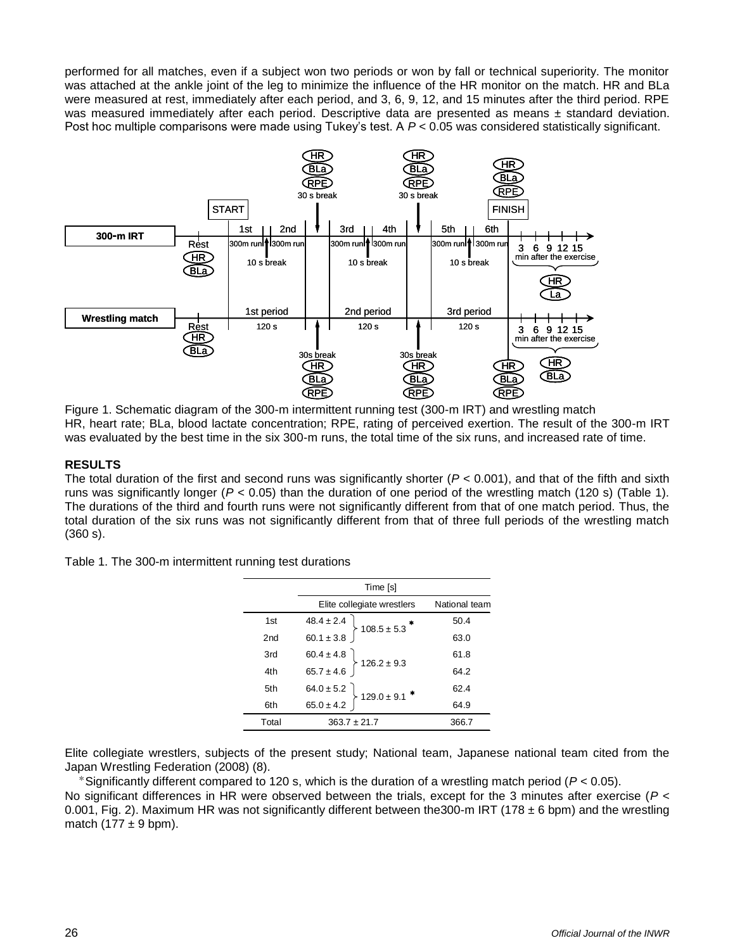performed for all matches, even if a subject won two periods or won by fall or technical superiority. The monitor was attached at the ankle joint of the leg to minimize the influence of the HR monitor on the match. HR and BLa were measured at rest, immediately after each period, and 3, 6, 9, 12, and 15 minutes after the third period. RPE was measured immediately after each period. Descriptive data are presented as means  $\pm$  standard deviation. Post hoc multiple comparisons were made using Tukey's test. A  $P < 0.05$  was considered statistically significant.



Figure 1. Schematic diagram of the 300-m intermittent running test (300-m IRT) and wrestling match HR, heart rate; BLa, blood lactate concentration; RPE, rating of perceived exertion. The result of the 300-m IRT was evaluated by the best time in the six 300-m runs, the total time of the six runs, and increased rate of time.

# **RESULTS**

The total duration of the first and second runs was significantly shorter (*P* < 0.001), and that of the fifth and sixth runs was significantly longer (*P* < 0.05) than the duration of one period of the wrestling match (120 s) (Table 1). The durations of the third and fourth runs were not significantly different from that of one match period. Thus, the total duration of the six runs was not significantly different from that of three full periods of the wrestling match (360 s).

|  |  | Table 1. The 300-m intermittent running test durations |  |  |  |
|--|--|--------------------------------------------------------|--|--|--|
|--|--|--------------------------------------------------------|--|--|--|

|       | Time [s]                                                                                                                                                         |               |  |
|-------|------------------------------------------------------------------------------------------------------------------------------------------------------------------|---------------|--|
|       | Elite collegiate wrestlers                                                                                                                                       | National team |  |
| 1st   | $\left\{\n \begin{array}{c}\n 48.4 \pm 2.4 \\ 60.1 \pm 3.8\n \end{array}\n \right\}\n \left\{\n \begin{array}{c}\n 108.5 \pm 5.3\n \end{array}\n \right.\n \ast$ | 50.4          |  |
| 2nd   |                                                                                                                                                                  | 63.0          |  |
| 3rd   | $60.4 \pm 4.8$<br>65.7 ± 4.6 $\Big\}$ 126.2 ± 9.3                                                                                                                | 61.8          |  |
| 4th   |                                                                                                                                                                  | 64.2          |  |
| 5th   | $64.0 \pm 5.2$<br>65.0 ± 4.2<br>129.0 ± 9.1 *                                                                                                                    | 62.4          |  |
| 6th   |                                                                                                                                                                  | 64.9          |  |
| Total | $363.7 \pm 21.7$                                                                                                                                                 | 366.7         |  |

Elite collegiate wrestlers, subjects of the present study; National team, Japanese national team cited from the Japan Wrestling Federation (2008) (8).

\*Significantly different compared to 120 s, which is the duration of a wrestling match period (*P* < 0.05). No significant differences in HR were observed between the trials, except for the 3 minutes after exercise (*P* < 0.001, Fig. 2). Maximum HR was not significantly different between the 300-m IRT (178  $\pm$  6 bpm) and the wrestling match (177  $\pm$  9 bpm).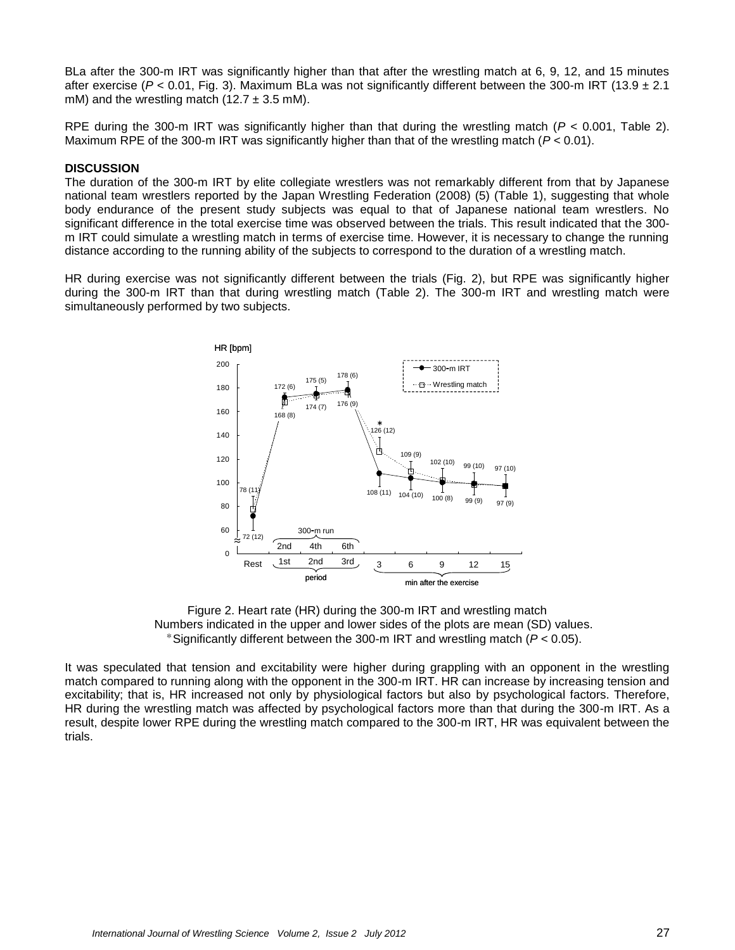BLa after the 300-m IRT was significantly higher than that after the wrestling match at 6, 9, 12, and 15 minutes after exercise ( $P < 0.01$ , Fig. 3). Maximum BLa was not significantly different between the 300-m IRT (13.9  $\pm$  2.1 mM) and the wrestling match (12.7  $\pm$  3.5 mM).

RPE during the 300-m IRT was significantly higher than that during the wrestling match (*P* < 0.001, Table 2). Maximum RPE of the 300-m IRT was significantly higher than that of the wrestling match (*P* < 0.01).

#### **DISCUSSION**

The duration of the 300-m IRT by elite collegiate wrestlers was not remarkably different from that by Japanese national team wrestlers reported by the Japan Wrestling Federation (2008) (5) (Table 1), suggesting that whole body endurance of the present study subjects was equal to that of Japanese national team wrestlers. No significant difference in the total exercise time was observed between the trials. This result indicated that the 300 m IRT could simulate a wrestling match in terms of exercise time. However, it is necessary to change the running distance according to the running ability of the subjects to correspond to the duration of a wrestling match.

HR during exercise was not significantly different between the trials (Fig. 2), but RPE was significantly higher during the 300-m IRT than that during wrestling match (Table 2). The 300-m IRT and wrestling match were simultaneously performed by two subjects.



Figure 2. Heart rate (HR) during the 300-m IRT and wrestling match Numbers indicated in the upper and lower sides of the plots are mean (SD) values. \*Significantly different between the 300-m IRT and wrestling match (*P* < 0.05).

It was speculated that tension and excitability were higher during grappling with an opponent in the wrestling match compared to running along with the opponent in the 300-m IRT. HR can increase by increasing tension and excitability; that is, HR increased not only by physiological factors but also by psychological factors. Therefore, HR during the wrestling match was affected by psychological factors more than that during the 300-m IRT. As a result, despite lower RPE during the wrestling match compared to the 300-m IRT, HR was equivalent between the trials.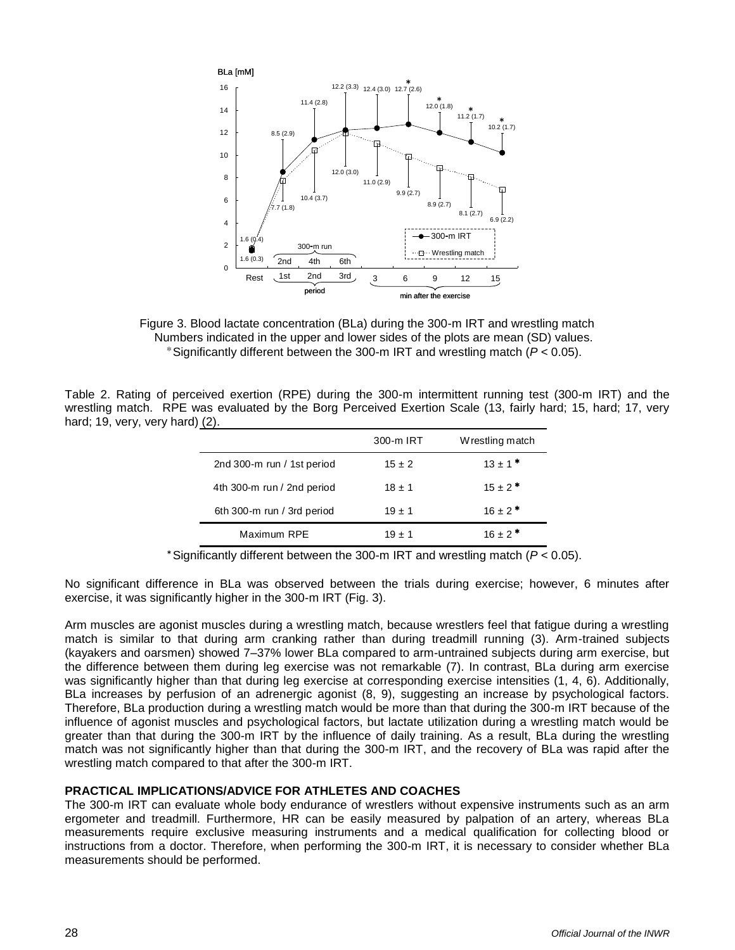

Figure 3. Blood lactate concentration (BLa) during the 300-m IRT and wrestling match Numbers indicated in the upper and lower sides of the plots are mean (SD) values. \*Significantly different between the 300-m IRT and wrestling match (*P* < 0.05).

Table 2. Rating of perceived exertion (RPE) during the 300-m intermittent running test (300-m IRT) and the wrestling match. RPE was evaluated by the Borg Perceived Exertion Scale (13, fairly hard; 15, hard; 17, very hard; 19, very, very hard) (2).

|                            | 300-m IRT  | Wrestling match         |
|----------------------------|------------|-------------------------|
| 2nd 300-m run / 1st period | $15 \pm 2$ | $13 \pm 1$ *            |
| 4th 300-m run / 2nd period | $18 + 1$   | $15 \pm 2$ *            |
| 6th 300-m run / 3rd period | $19 \pm 1$ | $16 \pm 2$ <sup>*</sup> |
| Maximum RPE                | $19 \pm 1$ | $16 \pm 2$ *            |

\*Significantly different between the 300-m IRT and wrestling match (*P* < 0.05).

No significant difference in BLa was observed between the trials during exercise; however, 6 minutes after exercise, it was significantly higher in the 300-m IRT (Fig. 3).

Arm muscles are agonist muscles during a wrestling match, because wrestlers feel that fatigue during a wrestling match is similar to that during arm cranking rather than during treadmill running (3). Arm-trained subjects (kayakers and oarsmen) showed 7–37% lower BLa compared to arm-untrained subjects during arm exercise, but the difference between them during leg exercise was not remarkable (7). In contrast, BLa during arm exercise was significantly higher than that during leg exercise at corresponding exercise intensities (1, 4, 6). Additionally, BLa increases by perfusion of an adrenergic agonist (8, 9), suggesting an increase by psychological factors. Therefore, BLa production during a wrestling match would be more than that during the 300-m IRT because of the influence of agonist muscles and psychological factors, but lactate utilization during a wrestling match would be greater than that during the 300-m IRT by the influence of daily training. As a result, BLa during the wrestling match was not significantly higher than that during the 300-m IRT, and the recovery of BLa was rapid after the wrestling match compared to that after the 300-m IRT.

### **PRACTICAL IMPLICATIONS/ADVICE FOR ATHLETES AND COACHES**

The 300-m IRT can evaluate whole body endurance of wrestlers without expensive instruments such as an arm ergometer and treadmill. Furthermore, HR can be easily measured by palpation of an artery, whereas BLa measurements require exclusive measuring instruments and a medical qualification for collecting blood or instructions from a doctor. Therefore, when performing the 300-m IRT, it is necessary to consider whether BLa measurements should be performed.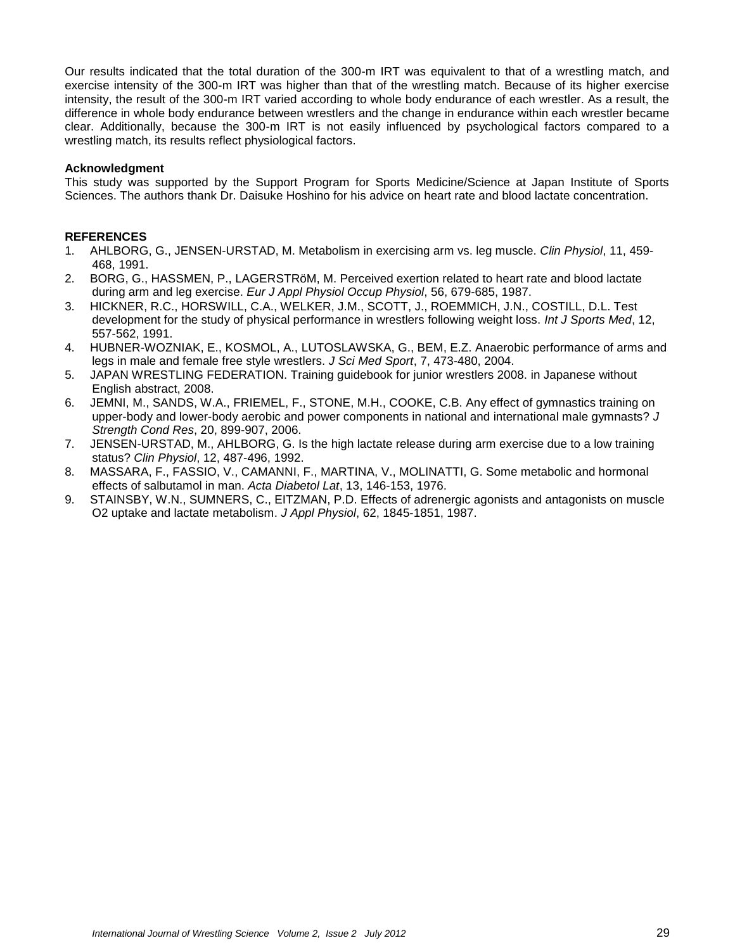Our results indicated that the total duration of the 300-m IRT was equivalent to that of a wrestling match, and exercise intensity of the 300-m IRT was higher than that of the wrestling match. Because of its higher exercise intensity, the result of the 300-m IRT varied according to whole body endurance of each wrestler. As a result, the difference in whole body endurance between wrestlers and the change in endurance within each wrestler became clear. Additionally, because the 300-m IRT is not easily influenced by psychological factors compared to a wrestling match, its results reflect physiological factors.

## **Acknowledgment**

This study was supported by the Support Program for Sports Medicine/Science at Japan Institute of Sports Sciences. The authors thank Dr. Daisuke Hoshino for his advice on heart rate and blood lactate concentration.

## **REFERENCES**

- 1. AHLBORG, G., JENSEN-URSTAD, M. Metabolism in exercising arm vs. leg muscle. *Clin Physiol*, 11, 459- 468, 1991.
- 2. BORG, G., HASSMEN, P., LAGERSTRöM, M. Perceived exertion related to heart rate and blood lactate during arm and leg exercise. *Eur J Appl Physiol Occup Physiol*, 56, 679-685, 1987.
- 3. HICKNER, R.C., HORSWILL, C.A., WELKER, J.M., SCOTT, J., ROEMMICH, J.N., COSTILL, D.L. Test development for the study of physical performance in wrestlers following weight loss. *Int J Sports Med*, 12, 557-562, 1991.
- 4. HUBNER-WOZNIAK, E., KOSMOL, A., LUTOSLAWSKA, G., BEM, E.Z. Anaerobic performance of arms and legs in male and female free style wrestlers. *J Sci Med Sport*, 7, 473-480, 2004.
- 5. JAPAN WRESTLING FEDERATION. Training guidebook for junior wrestlers 2008. in Japanese without English abstract, 2008.
- 6. JEMNI, M., SANDS, W.A., FRIEMEL, F., STONE, M.H., COOKE, C.B. Any effect of gymnastics training on upper-body and lower-body aerobic and power components in national and international male gymnasts? *J Strength Cond Res*, 20, 899-907, 2006.
- 7. JENSEN-URSTAD, M., AHLBORG, G. Is the high lactate release during arm exercise due to a low training status? *Clin Physiol*, 12, 487-496, 1992.
- 8. MASSARA, F., FASSIO, V., CAMANNI, F., MARTINA, V., MOLINATTI, G. Some metabolic and hormonal effects of salbutamol in man. *Acta Diabetol Lat*, 13, 146-153, 1976.
- 9. STAINSBY, W.N., SUMNERS, C., EITZMAN, P.D. Effects of adrenergic agonists and antagonists on muscle O2 uptake and lactate metabolism. *J Appl Physiol*, 62, 1845-1851, 1987.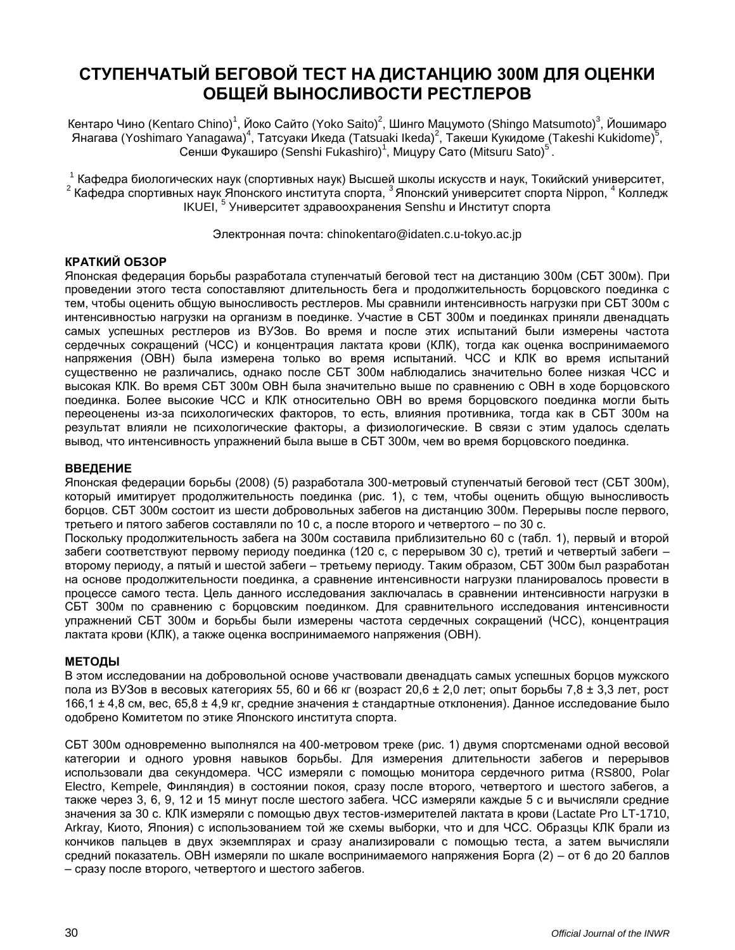# **СТУПЕНЧАТЫЙ БЕГОВОЙ ТЕСТ НА ДИСТАНЦИЮ 300М ДЛЯ ОЦЕНКИ ОБЩЕЙ ВЫНОСЛИВОСТИ РЕСТЛЕРОВ**

Кентаро Чино (Kentaro Chino)<sup>1</sup>, Йоко Сайто (Yoko Saito)<sup>2</sup>, Шинго Мацумото (Shingo Matsumoto)<sup>3</sup>, Йошимаро Янагава (Yoshimaro Yanagawa)<sup>4</sup>, Татсуаки Ѝкеда (Tatsuaki Ikeda)<sup>2</sup>, Такеши Кукидоме (Takeshi Kukidome)<sup>5</sup>, Сенши Фукаширо (Senshi Fukashiro)<sup>1</sup>, Мицуру Сато (Mitsuru Sato)<sup>5</sup>.

<sup>1</sup> Кафедра биологических наук (спортивных наук) Высшей школы искусств и наук, Токийский университет,  $^2$  Кафедра спортивных наук Японского института спорта, <sup>3</sup> Японский университет спорта Nippon, <sup>4</sup> Колледж IKUEI, 5 Университет здравоохранения Senshu и Институт спорта

Электронная почта: chinokentaro@idaten.c.u-tokyo.ac.jp

# **КРАТКИЙ ОБЗОР**

Японская федерация борьбы разработала ступенчатый беговой тест на дистанцию 300м (СБТ 300м). При проведении этого теста сопоставляют длительность бега и продолжительность борцовского поединка с тем, чтобы оценить общую выносливость рестлеров. Мы сравнили интенсивность нагрузки при СБТ 300м с интенсивностью нагрузки на организм в поединке. Участие в СБТ 300м и поединках приняли двенадцать самых успешных рестлеров из ВУЗов. Во время и после этих испытаний были измерены частота сердечных сокращений (ЧСС) и концентрация лактата крови (КЛК), тогда как оценка воспринимаемого напряжения (ОВН) была измерена только во время испытаний. ЧСС и КЛК во время испытаний существенно не различались, однако после СБТ 300м наблюдались значительно более низкая ЧСС и высокая КЛК. Во время СБТ 300м ОВН была значительно выше по сравнению с ОВН в ходе борцовского поединка. Более высокие ЧСС и КЛК относительно ОВН во время борцовского поединка могли быть переоценены из-за психологических факторов, то есть, влияния противника, тогда как в СБТ 300м на результат влияли не психологические факторы, а физиологические. В связи с этим удалось сделать вывод, что интенсивность упражнений была выше в СБТ 300м, чем во время борцовского поединка.

## **ВВЕДЕНИЕ**

Японская федерации борьбы (2008) (5) разработала 300-метровый ступенчатый беговой тест (СБТ 300м), который имитирует продолжительность поединка (рис. 1), с тем, чтобы оценить общую выносливость борцов. СБТ 300м состоит из шести добровольных забегов на дистанцию 300м. Перерывы после первого, третьего и пятого забегов составляли по 10 с, а после второго и четвертого – по 30 с.

Поскольку продолжительность забега на 300м составила приблизительно 60 с (табл. 1), первый и второй забеги соответствуют первому периоду поединка (120 с, с перерывом 30 с), третий и четвертый забеги – второму периоду, а пятый и шестой забеги – третьему периоду. Таким образом, СБТ 300м был разработан на основе продолжительности поединка, а сравнение интенсивности нагрузки планировалось провести в процессе самого теста. Цель данного исследования заключалась в сравнении интенсивности нагрузки в СБТ 300м по сравнению с борцовским поединком. Для сравнительного исследования интенсивности упражнений СБТ 300м и борьбы были измерены частота сердечных сокращений (ЧСС), концентрация лактата крови (КЛК), а также оценка воспринимаемого напряжения (ОВН).

### **МЕТОДЫ**

В этом исследовании на добровольной основе участвовали двенадцать самых успешных борцов мужского пола из ВУЗов в весовых категориях 55, 60 и 66 кг (возраст 20,6 ± 2,0 лет; опыт борьбы 7,8 ± 3,3 лет, рост 166,1 ± 4,8 см, вес, 65,8 ± 4,9 кг, средние значения ± стандартные отклонения). Данное исследование было одобрено Комитетом по этике Японского института спорта.

СБТ 300м одновременно выполнялся на 400-метровом треке (рис. 1) двумя спортсменами одной весовой категории и одного уровня навыков борьбы. Для измерения длительности забегов и перерывов использовали два секундомера. ЧСС измеряли с помощью монитора сердечного ритма (RS800, Polar Electro, Kempele, Финляндия) в состоянии покоя, сразу после второго, четвертого и шестого забегов, а также через 3, 6, 9, 12 и 15 минут после шестого забега. ЧСС измеряли каждые 5 с и вычисляли средние значения за 30 с. КЛК измеряли с помощью двух тестов-измерителей лактата в крови (Lactate Pro LT-1710, Arkray, Киото, Япония) с использованием той же схемы выборки, что и для ЧСС. Образцы КЛК брали из кончиков пальцев в двух экземплярах и сразу анализировали с помощью теста, а затем вычисляли средний показатель. ОВН измеряли по шкале воспринимаемого напряжения Борга (2) – от 6 до 20 баллов – сразу после второго, четвертого и шестого забегов.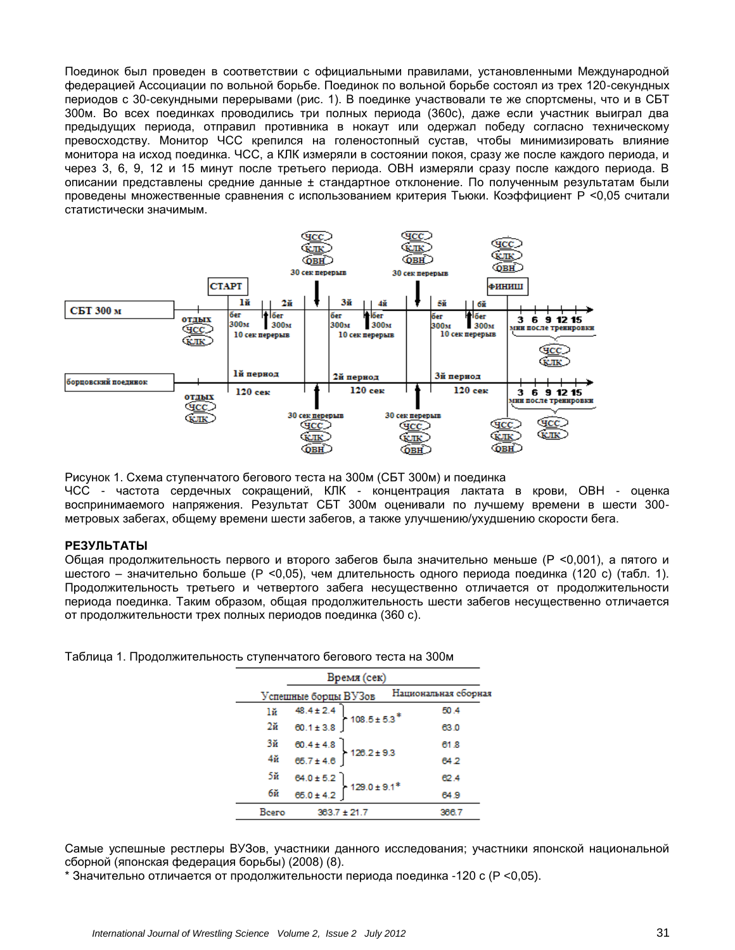Поединок был проведен в соответствии с официальными правилами, установленными Международной федерацией Ассоциации по вольной борьбе. Поединок по вольной борьбе состоял из трех 120-секундных периодов с 30-секундными перерывами (рис. 1). В поединке участвовали те же спортсмены, что и в СБТ 300м. Во всех поединках проводились три полных периода (360с), даже если участник выиграл два предыдущих периода, отправил противника в нокаут или одержал победу согласно техническому превосходству. Монитор ЧСС крепился на голеностопный сустав, чтобы минимизировать влияние монитора на исход поединка. ЧСС, а КЛК измеряли в состоянии покоя, сразу же после каждого периода, и через 3, 6, 9, 12 и 15 минут после третьего периода. ОВН измеряли сразу после каждого периода. В описании представлены средние данные ± стандартное отклонение. По полученным результатам были проведены множественные сравнения с использованием критерия Тьюки. Коэффициент P <0,05 считали статистически значимым.



Рисунок 1. Схема ступенчатого бегового теста на 300м (СБТ 300м) и поединка ЧСС - частота сердечных сокращений, КЛК - концентрация лактата в крови, ОВН - оценка воспринимаемого напряжения. Результат СБТ 300м оценивали по лучшему времени в шести 300 метровых забегах, общему времени шести забегов, а также улучшению/ухудшению скорости бега.

### **РЕЗУЛЬТАТЫ**

Общая продолжительность первого и второго забегов была значительно меньше (Р <0,001), а пятого и шестого – значительно больше (P <0,05), чем длительность одного периода поединка (120 с) (табл. 1). Продолжительность третьего и четвертого забега несущественно отличается от продолжительности периода поединка. Таким образом, общая продолжительность шести забегов несущественно отличается от продолжительности трех полных периодов поединка (360 с).

Таблица 1. Продолжительность ступенчатого бегового теста на 300м

| Время (сек) |                                                                                                             |  |                      |
|-------------|-------------------------------------------------------------------------------------------------------------|--|----------------------|
|             | Успешные борцы ВУЗов                                                                                        |  | Национальная сборная |
| lй          | $\begin{array}{c} 48.4 \pm 2.4 \\ 60.1 \pm 3.8 \end{array} \bigg\} 108.5 \pm 5.3^*$                         |  | 50.4                 |
| $2\ddot{a}$ |                                                                                                             |  | 63.0                 |
| Зă          | $\left. \begin{array}{ll} 60.4 \pm 4.8 \\ 65.7 \pm 4.6 \end{array} \right\} \, 128.2 \pm 9.3$               |  | 61.8                 |
| 4ă          |                                                                                                             |  | 64.2                 |
| 5й          |                                                                                                             |  | 62.4                 |
| 6й          | $\left. \begin{array}{l} 64.0 \pm 5.2 \\ 65.0 \pm 4.2 \end{array} \right\} \hspace{0.05cm} 129.0 \pm 9.1^*$ |  | 64.9                 |
| Beero       | $363.7 \pm 21.7$                                                                                            |  | 366.7                |

Самые успешные рестлеры ВУЗов, участники данного исследования; участники японской национальной сборной (японская федерация борьбы) (2008) (8).

\* Значительно отличается от продолжительности периода поединка -120 с (P <0,05).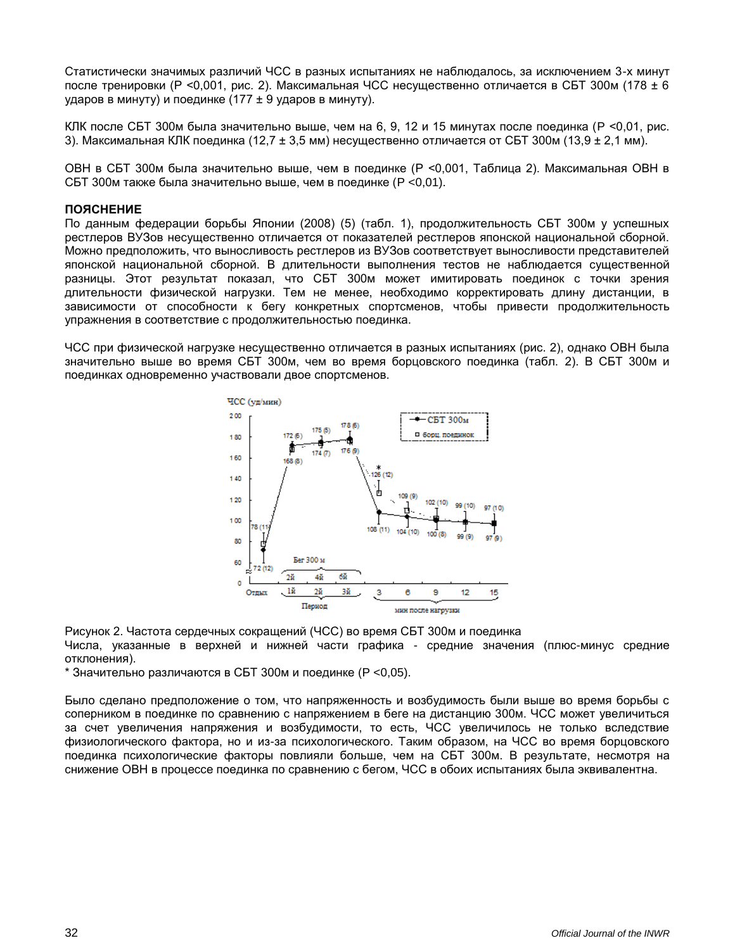Статистически значимых различий ЧСС в разных испытаниях не наблюдалось, за исключением 3-х минут после тренировки (Р <0,001, рис. 2). Максимальная ЧСС несущественно отличается в СБТ 300м (178 ± 6 ударов в минуту) и поединке (177 ± 9 ударов в минуту).

КЛК после СБТ 300м была значительно выше, чем на 6, 9, 12 и 15 минутах после поединка (P <0,01, рис. 3). Максимальная КЛК поединка (12,7  $\pm$  3,5 мм) несущественно отличается от СБТ 300м (13,9  $\pm$  2,1 мм).

ОВН в СБТ 300м была значительно выше, чем в поединке (Р <0,001, Таблица 2). Максимальная ОВН в СБТ 300м также была значительно выше, чем в поединке (P <0,01).

#### **ПОЯСНЕНИЕ**

По данным федерации борьбы Японии (2008) (5) (табл. 1), продолжительность СБТ 300м у успешных рестлеров ВУЗов несущественно отличается от показателей рестлеров японской национальной сборной. Можно предположить, что выносливость рестлеров из ВУЗов соответствует выносливости представителей японской национальной сборной. В длительности выполнения тестов не наблюдается существенной разницы. Этот результат показал, что СБТ 300м может имитировать поединок с точки зрения длительности физической нагрузки. Тем не менее, необходимо корректировать длину дистанции, в зависимости от способности к бегу конкретных спортсменов, чтобы привести продолжительность упражнения в соответствие с продолжительностью поединка.

ЧСС при физической нагрузке несущественно отличается в разных испытаниях (рис. 2), однако ОВН была значительно выше во время СБТ 300м, чем во время борцовского поединка (табл. 2). В СБТ 300м и поединках одновременно участвовали двое спортсменов.



Рисунок 2. Частота сердечных сокращений (ЧСС) во время СБТ 300м и поединка Числа, указанные в верхней и нижней части графика - средние значения (плюс-минус средние отклонения).

\* Значительно различаются в СБТ 300м и поединке (P <0,05).

Было сделано предположение о том, что напряженность и возбудимость были выше во время борьбы с соперником в поединке по сравнению с напряжением в беге на дистанцию 300м. ЧСС может увеличиться за счет увеличения напряжения и возбудимости, то есть, ЧСС увеличилось не только вследствие физиологического фактора, но и из-за психологического. Таким образом, на ЧСС во время борцовского поединка психологические факторы повлияли больше, чем на СБТ 300м. В результате, несмотря на снижение ОВН в процессе поединка по сравнению с бегом, ЧСС в обоих испытаниях была эквивалентна.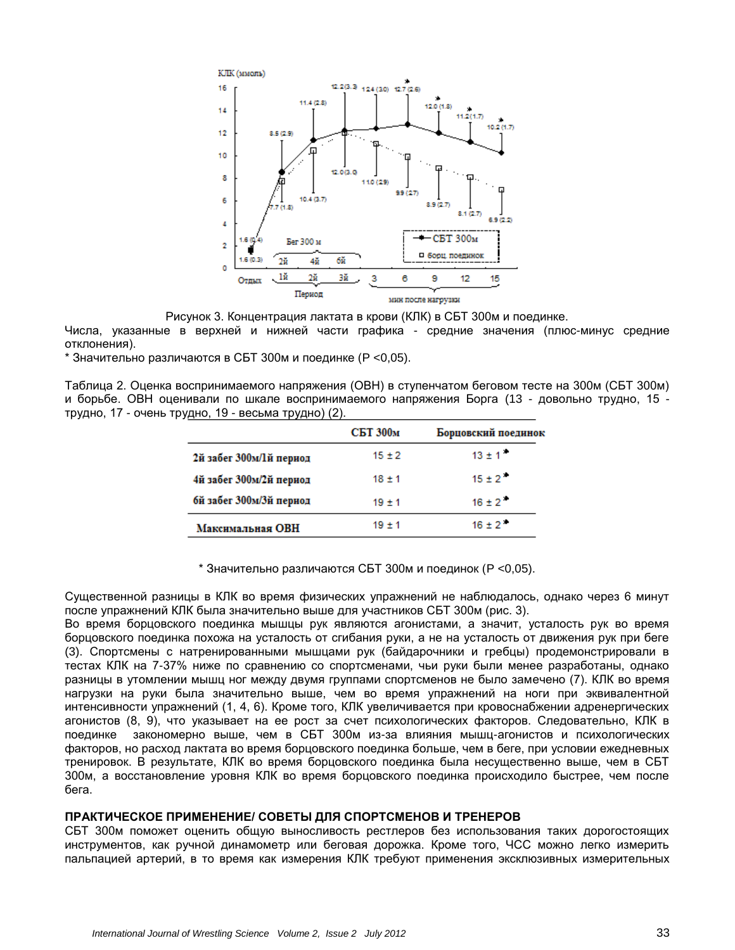

Рисунок 3. Концентрация лактата в крови (КЛК) в СБТ 300м и поединке.

Числа, указанные в верхней и нижней части графика - средние значения (плюс-минус средние отклонения).

\* Значительно различаются в СБТ 300м и поединке (P <0,05).

Таблица 2. Оценка воспринимаемого напряжения (ОВН) в ступенчатом беговом тесте на 300м (СБТ 300м) и борьбе. ОВН оценивали по шкале воспринимаемого напряжения Борга (13 - довольно трудно, 15 трудно, 17 - очень трудно, 19 - весьма трудно) (2).

|                         | СБТ 300м   | Борцовский поединок |
|-------------------------|------------|---------------------|
| 2й забег 300м/1й период | $15 \pm 2$ | $13 \pm 1$          |
| 4й забег 300м/2й период | $18 + 1$   | $15 + 2$            |
| бй забег 300м/3й период | $19 + 1$   | $16 \pm 2$          |
| Максимальная ОВН        | $19 + 1$   | $16 + 2$            |

\* Значительно различаются СБТ 300м и поединок (P <0,05).

Существенной разницы в КЛК во время физических упражнений не наблюдалось, однако через 6 минут после упражнений КЛК была значительно выше для участников СБТ 300м (рис. 3).

Во время борцовского поединка мышцы рук являются агонистами, а значит, усталость рук во время борцовского поединка похожа на усталость от сгибания руки, а не на усталость от движения рук при беге (3). Спортсмены с натренированными мышцами рук (байдарочники и гребцы) продемонстрировали в тестах КЛК на 7-37% ниже по сравнению со спортсменами, чьи руки были менее разработаны, однако разницы в утомлении мышц ног между двумя группами спортсменов не было замечено (7). КЛК во время нагрузки на руки была значительно выше, чем во время упражнений на ноги при эквивалентной интенсивности упражнений (1, 4, 6). Кроме того, КЛК увеличивается при кровоснабжении адренергических агонистов (8, 9), что указывает на ее рост за счет психологических факторов. Следовательно, КЛК в поединке закономерно выше, чем в СБТ 300м из-за влияния мышц-агонистов и психологических факторов, но расход лактата во время борцовского поединка больше, чем в беге, при условии ежедневных тренировок. В результате, КЛК во время борцовского поединка была несущественно выше, чем в СБТ 300м, а восстановление уровня КЛК во время борцовского поединка происходило быстрее, чем после бега.

### **ПРАКТИЧЕСКОЕ ПРИМЕНЕНИЕ/ СОВЕТЫ ДЛЯ СПОРТСМЕНОВ И ТРЕНЕРОВ**

СБТ 300м поможет оценить общую выносливость рестлеров без использования таких дорогостоящих инструментов, как ручной динамометр или беговая дорожка. Кроме того, ЧСС можно легко измерить пальпацией артерий, в то время как измерения КЛК требуют применения эксклюзивных измерительных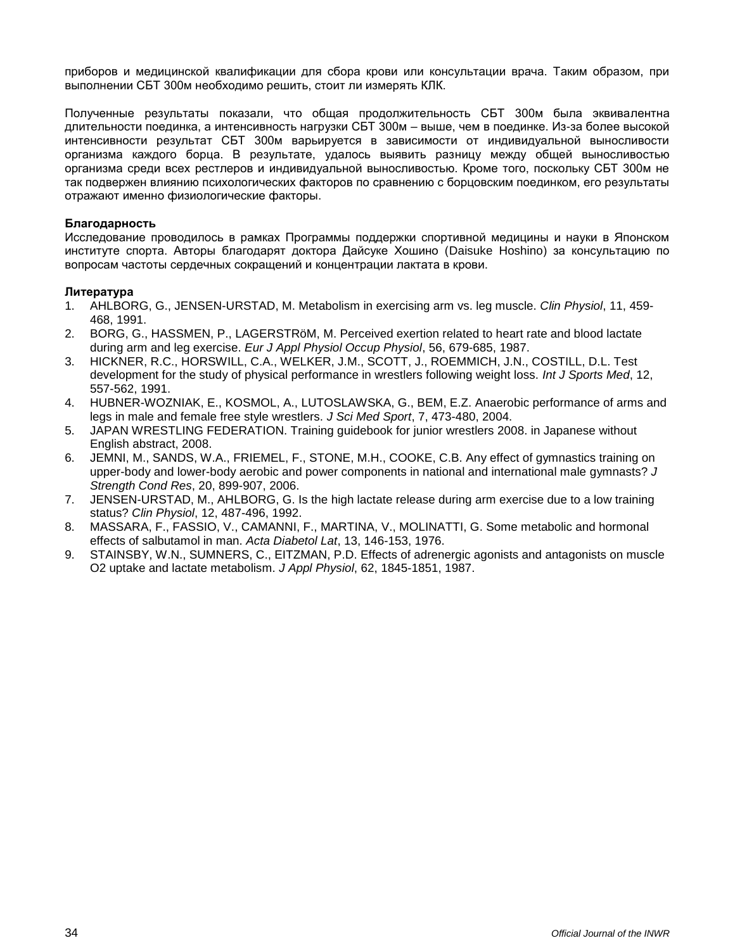приборов и медицинской квалификации для сбора крови или консультации врача. Таким образом, при выполнении СБТ 300м необходимо решить, стоит ли измерять КЛК.

Полученные результаты показали, что общая продолжительность СБТ 300м была эквивалентна длительности поединка, а интенсивность нагрузки СБТ 300м – выше, чем в поединке. Из-за более высокой интенсивности результат СБТ 300м варьируется в зависимости от индивидуальной выносливости организма каждого борца. В результате, удалось выявить разницу между общей выносливостью организма среди всех рестлеров и индивидуальной выносливостью. Кроме того, поскольку СБТ 300м не так подвержен влиянию психологических факторов по сравнению с борцовским поединком, его результаты отражают именно физиологические факторы.

#### **Благодарность**

Исследование проводилось в рамках Программы поддержки спортивной медицины и науки в Японском институте спорта. Авторы благодарят доктора Дайсуке Хошино (Daisuke Hoshino) за консультацию по вопросам частоты сердечных сокращений и концентрации лактата в крови.

### **Литература**

- 1. AHLBORG, G., JENSEN-URSTAD, M. Metabolism in exercising arm vs. leg muscle. *Clin Physiol*, 11, 459- 468, 1991.
- 2. BORG, G., HASSMEN, P., LAGERSTRöM, M. Perceived exertion related to heart rate and blood lactate during arm and leg exercise. *Eur J Appl Physiol Occup Physiol*, 56, 679-685, 1987.
- 3. HICKNER, R.C., HORSWILL, C.A., WELKER, J.M., SCOTT, J., ROEMMICH, J.N., COSTILL, D.L. Test development for the study of physical performance in wrestlers following weight loss. *Int J Sports Med*, 12, 557-562, 1991.
- 4. HUBNER-WOZNIAK, E., KOSMOL, A., LUTOSLAWSKA, G., BEM, E.Z. Anaerobic performance of arms and legs in male and female free style wrestlers. *J Sci Med Sport*, 7, 473-480, 2004.
- 5. JAPAN WRESTLING FEDERATION. Training guidebook for junior wrestlers 2008. in Japanese without English abstract, 2008.
- 6. JEMNI, M., SANDS, W.A., FRIEMEL, F., STONE, M.H., COOKE, C.B. Any effect of gymnastics training on upper-body and lower-body aerobic and power components in national and international male gymnasts? *J Strength Cond Res*, 20, 899-907, 2006.
- 7. JENSEN-URSTAD, M., AHLBORG, G. Is the high lactate release during arm exercise due to a low training status? *Clin Physiol*, 12, 487-496, 1992.
- 8. MASSARA, F., FASSIO, V., CAMANNI, F., MARTINA, V., MOLINATTI, G. Some metabolic and hormonal effects of salbutamol in man. *Acta Diabetol Lat*, 13, 146-153, 1976.
- 9. STAINSBY, W.N., SUMNERS, C., EITZMAN, P.D. Effects of adrenergic agonists and antagonists on muscle O2 uptake and lactate metabolism. *J Appl Physiol*, 62, 1845-1851, 1987.